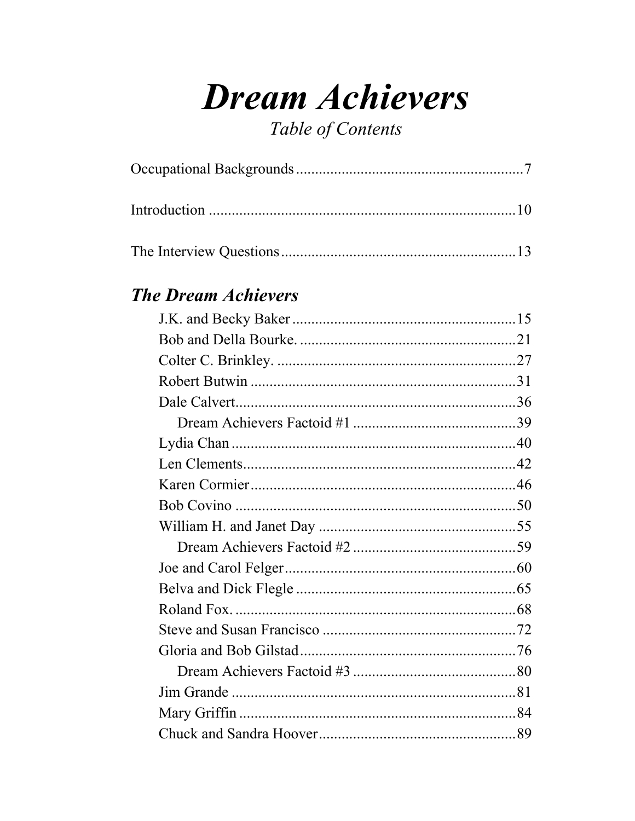# **Dream Achievers**

Table of Contents

### **The Dream Achievers**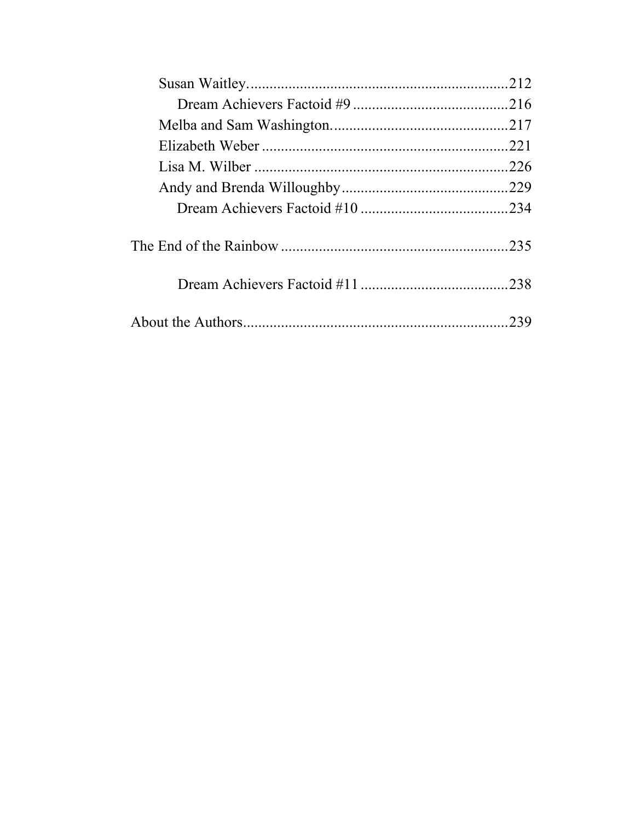| .221 |
|------|
|      |
|      |
|      |
|      |
|      |
|      |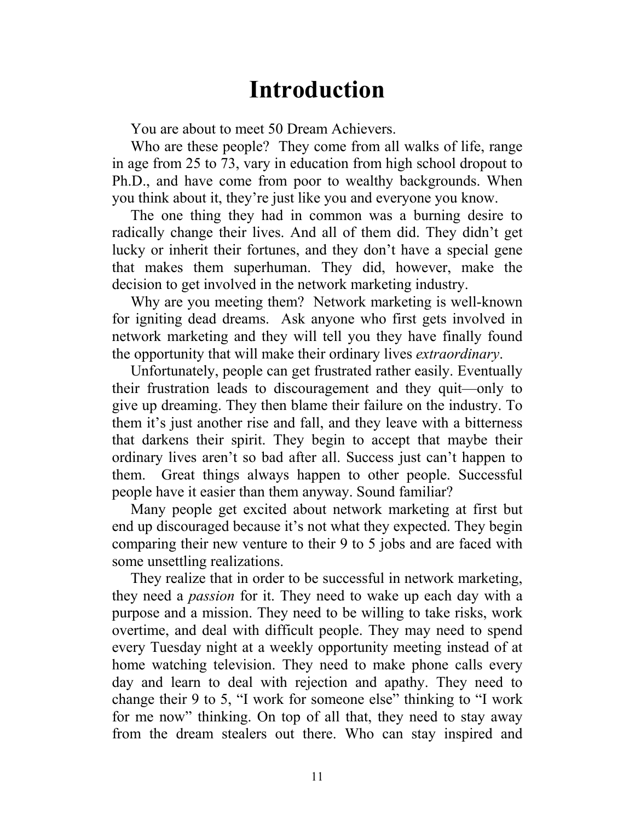### **Introduction**

You are about to meet 50 Dream Achievers.

 Who are these people? They come from all walks of life, range in age from 25 to 73, vary in education from high school dropout to Ph.D., and have come from poor to wealthy backgrounds. When you think about it, they're just like you and everyone you know.

 The one thing they had in common was a burning desire to radically change their lives. And all of them did. They didn't get lucky or inherit their fortunes, and they don't have a special gene that makes them superhuman. They did, however, make the decision to get involved in the network marketing industry.

 Why are you meeting them? Network marketing is well-known for igniting dead dreams. Ask anyone who first gets involved in network marketing and they will tell you they have finally found the opportunity that will make their ordinary lives *extraordinary*.

 Unfortunately, people can get frustrated rather easily. Eventually their frustration leads to discouragement and they quit—only to give up dreaming. They then blame their failure on the industry. To them it's just another rise and fall, and they leave with a bitterness that darkens their spirit. They begin to accept that maybe their ordinary lives aren't so bad after all. Success just can't happen to them. Great things always happen to other people. Successful people have it easier than them anyway. Sound familiar?

 Many people get excited about network marketing at first but end up discouraged because it's not what they expected. They begin comparing their new venture to their 9 to 5 jobs and are faced with some unsettling realizations.

 They realize that in order to be successful in network marketing, they need a *passion* for it. They need to wake up each day with a purpose and a mission. They need to be willing to take risks, work overtime, and deal with difficult people. They may need to spend every Tuesday night at a weekly opportunity meeting instead of at home watching television. They need to make phone calls every day and learn to deal with rejection and apathy. They need to change their 9 to 5, "I work for someone else" thinking to "I work for me now" thinking. On top of all that, they need to stay away from the dream stealers out there. Who can stay inspired and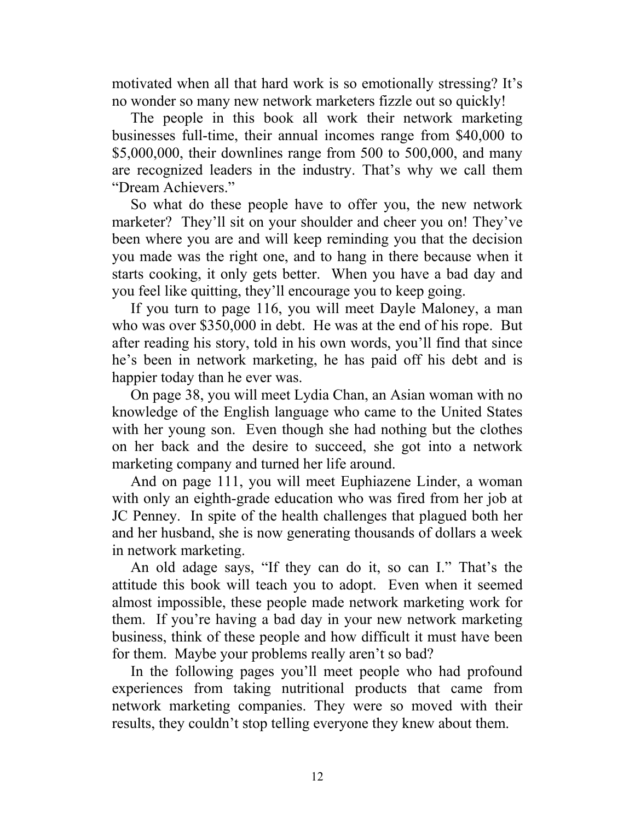motivated when all that hard work is so emotionally stressing? It's no wonder so many new network marketers fizzle out so quickly!

 The people in this book all work their network marketing businesses full-time, their annual incomes range from \$40,000 to \$5,000,000, their downlines range from 500 to 500,000, and many are recognized leaders in the industry. That's why we call them "Dream Achievers."

 So what do these people have to offer you, the new network marketer? They'll sit on your shoulder and cheer you on! They've been where you are and will keep reminding you that the decision you made was the right one, and to hang in there because when it starts cooking, it only gets better. When you have a bad day and you feel like quitting, they'll encourage you to keep going.

 If you turn to page 116, you will meet Dayle Maloney, a man who was over \$350,000 in debt. He was at the end of his rope. But after reading his story, told in his own words, you'll find that since he's been in network marketing, he has paid off his debt and is happier today than he ever was.

 On page 38, you will meet Lydia Chan, an Asian woman with no knowledge of the English language who came to the United States with her young son. Even though she had nothing but the clothes on her back and the desire to succeed, she got into a network marketing company and turned her life around.

 And on page 111, you will meet Euphiazene Linder, a woman with only an eighth-grade education who was fired from her job at JC Penney. In spite of the health challenges that plagued both her and her husband, she is now generating thousands of dollars a week in network marketing.

 An old adage says, "If they can do it, so can I." That's the attitude this book will teach you to adopt. Even when it seemed almost impossible, these people made network marketing work for them. If you're having a bad day in your new network marketing business, think of these people and how difficult it must have been for them. Maybe your problems really aren't so bad?

 In the following pages you'll meet people who had profound experiences from taking nutritional products that came from network marketing companies. They were so moved with their results, they couldn't stop telling everyone they knew about them.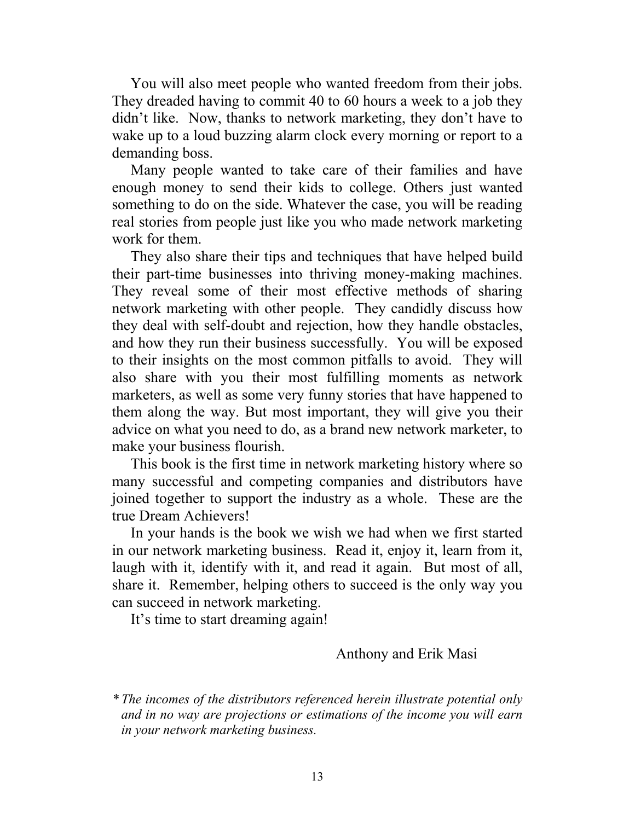You will also meet people who wanted freedom from their jobs. They dreaded having to commit 40 to 60 hours a week to a job they didn't like. Now, thanks to network marketing, they don't have to wake up to a loud buzzing alarm clock every morning or report to a demanding boss.

 Many people wanted to take care of their families and have enough money to send their kids to college. Others just wanted something to do on the side. Whatever the case, you will be reading real stories from people just like you who made network marketing work for them.

 They also share their tips and techniques that have helped build their part-time businesses into thriving money-making machines. They reveal some of their most effective methods of sharing network marketing with other people. They candidly discuss how they deal with self-doubt and rejection, how they handle obstacles, and how they run their business successfully. You will be exposed to their insights on the most common pitfalls to avoid. They will also share with you their most fulfilling moments as network marketers, as well as some very funny stories that have happened to them along the way. But most important, they will give you their advice on what you need to do, as a brand new network marketer, to make your business flourish.

 This book is the first time in network marketing history where so many successful and competing companies and distributors have joined together to support the industry as a whole. These are the true Dream Achievers!

 In your hands is the book we wish we had when we first started in our network marketing business. Read it, enjoy it, learn from it, laugh with it, identify with it, and read it again. But most of all, share it. Remember, helping others to succeed is the only way you can succeed in network marketing.

It's time to start dreaming again!

#### Anthony and Erik Masi

*<sup>\*</sup> The incomes of the distributors referenced herein illustrate potential only and in no way are projections or estimations of the income you will earn in your network marketing business.*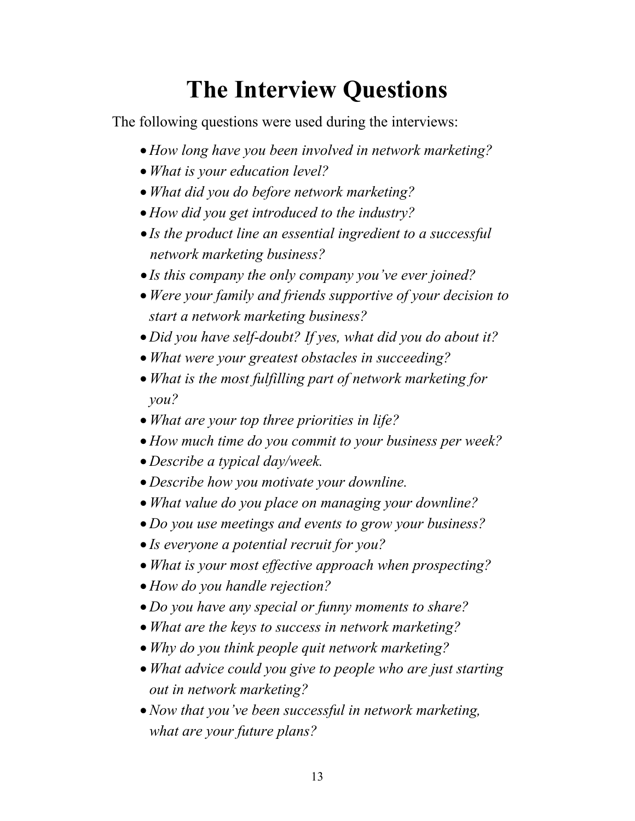## **The Interview Questions**

The following questions were used during the interviews:

- *How long have you been involved in network marketing?*
- *What is your education level?*
- *What did you do before network marketing?*
- *How did you get introduced to the industry?*
- *Is the product line an essential ingredient to a successful network marketing business?*
- *Is this company the only company you've ever joined?*
- *Were your family and friends supportive of your decision to start a network marketing business?*
- *Did you have self-doubt? If yes, what did you do about it?*
- *What were your greatest obstacles in succeeding?*
- *What is the most fulfilling part of network marketing for you?*
- *What are your top three priorities in life?*
- *How much time do you commit to your business per week?*
- *Describe a typical day/week.*
- *Describe how you motivate your downline.*
- *What value do you place on managing your downline?*
- *Do you use meetings and events to grow your business?*
- *Is everyone a potential recruit for you?*
- *What is your most effective approach when prospecting?*
- *How do you handle rejection?*
- *Do you have any special or funny moments to share?*
- *What are the keys to success in network marketing?*
- *Why do you think people quit network marketing?*
- *What advice could you give to people who are just starting out in network marketing?*
- •*Now that you've been successful in network marketing, what are your future plans?*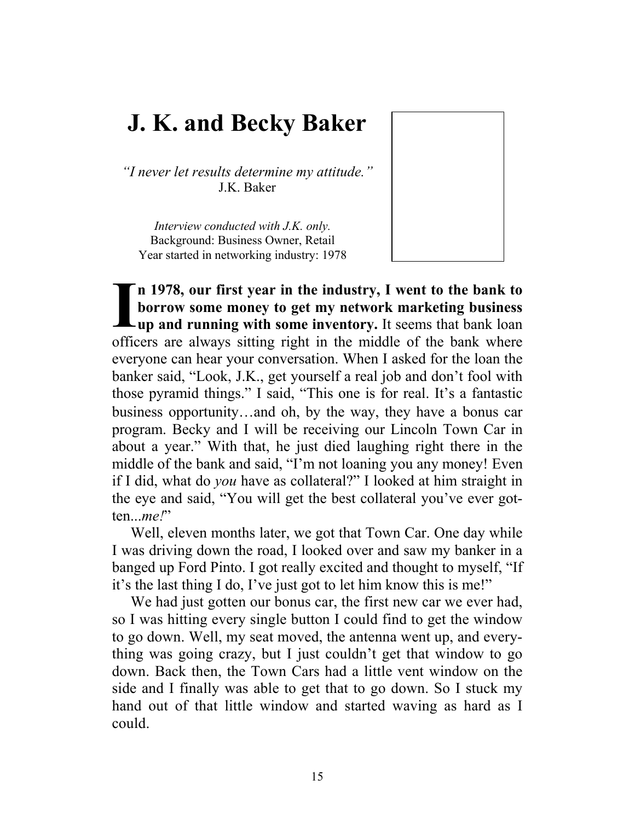### **J. K. and Becky Baker**

*"I never let results determine my attitude."*  J.K. Baker

*Interview conducted with J.K. only.*  Background: Business Owner, Retail Year started in networking industry: 1978



**n 1978, our first year in the industry, I went to the bank to borrow some money to get my network marketing business**  I a 1978, our first year in the industry, I went to the bank to borrow some money to get my network marketing business up and running with some inventory. It seems that bank loan officers are always sitting right in the middle of the bank where everyone can hear your conversation. When I asked for the loan the banker said, "Look, J.K., get yourself a real job and don't fool with those pyramid things." I said, "This one is for real. It's a fantastic business opportunity…and oh, by the way, they have a bonus car program. Becky and I will be receiving our Lincoln Town Car in about a year." With that, he just died laughing right there in the middle of the bank and said, "I'm not loaning you any money! Even if I did, what do *you* have as collateral?" I looked at him straight in the eye and said, "You will get the best collateral you've ever gotten...*me!*"

Well, eleven months later, we got that Town Car. One day while I was driving down the road, I looked over and saw my banker in a banged up Ford Pinto. I got really excited and thought to myself, "If it's the last thing I do, I've just got to let him know this is me!"

We had just gotten our bonus car, the first new car we ever had, so I was hitting every single button I could find to get the window to go down. Well, my seat moved, the antenna went up, and everything was going crazy, but I just couldn't get that window to go down. Back then, the Town Cars had a little vent window on the side and I finally was able to get that to go down. So I stuck my hand out of that little window and started waving as hard as I could.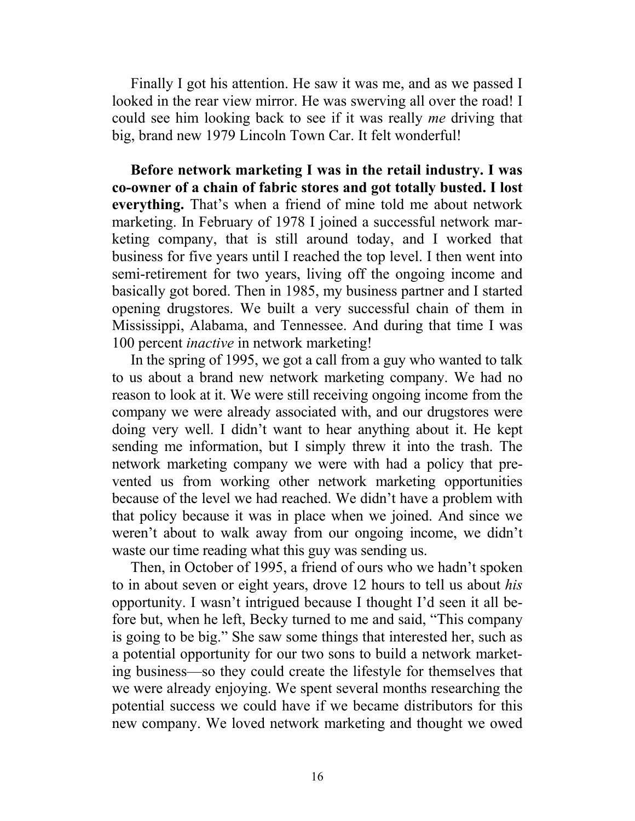Finally I got his attention. He saw it was me, and as we passed I looked in the rear view mirror. He was swerving all over the road! I could see him looking back to see if it was really *me* driving that big, brand new 1979 Lincoln Town Car. It felt wonderful!

**Before network marketing I was in the retail industry. I was co-owner of a chain of fabric stores and got totally busted. I lost everything.** That's when a friend of mine told me about network marketing. In February of 1978 I joined a successful network marketing company, that is still around today, and I worked that business for five years until I reached the top level. I then went into semi-retirement for two years, living off the ongoing income and basically got bored. Then in 1985, my business partner and I started opening drugstores. We built a very successful chain of them in Mississippi, Alabama, and Tennessee. And during that time I was 100 percent *inactive* in network marketing!

In the spring of 1995, we got a call from a guy who wanted to talk to us about a brand new network marketing company. We had no reason to look at it. We were still receiving ongoing income from the company we were already associated with, and our drugstores were doing very well. I didn't want to hear anything about it. He kept sending me information, but I simply threw it into the trash. The network marketing company we were with had a policy that prevented us from working other network marketing opportunities because of the level we had reached. We didn't have a problem with that policy because it was in place when we joined. And since we weren't about to walk away from our ongoing income, we didn't waste our time reading what this guy was sending us.

Then, in October of 1995, a friend of ours who we hadn't spoken to in about seven or eight years, drove 12 hours to tell us about *his* opportunity. I wasn't intrigued because I thought I'd seen it all before but, when he left, Becky turned to me and said, "This company is going to be big." She saw some things that interested her, such as a potential opportunity for our two sons to build a network marketing business—so they could create the lifestyle for themselves that we were already enjoying. We spent several months researching the potential success we could have if we became distributors for this new company. We loved network marketing and thought we owed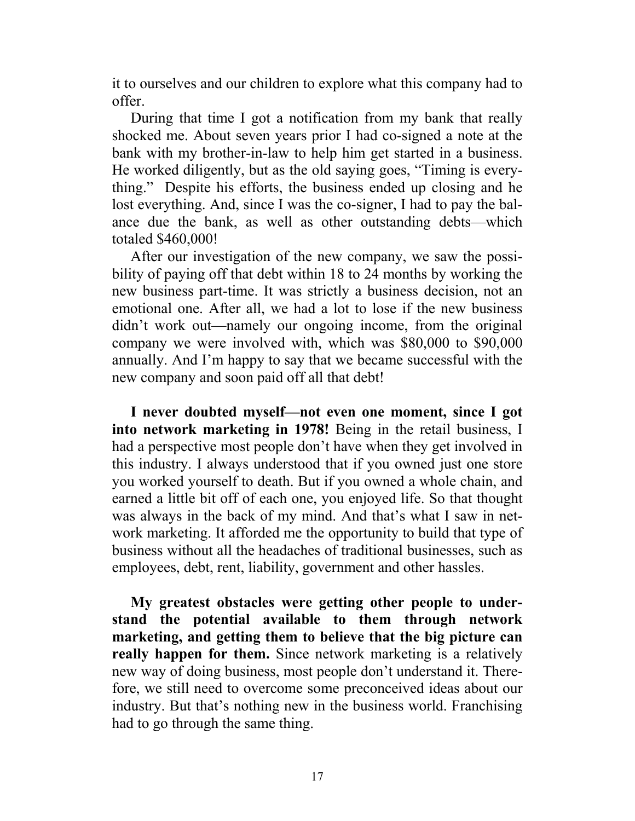it to ourselves and our children to explore what this company had to offer.

During that time I got a notification from my bank that really shocked me. About seven years prior I had co-signed a note at the bank with my brother-in-law to help him get started in a business. He worked diligently, but as the old saying goes, "Timing is everything." Despite his efforts, the business ended up closing and he lost everything. And, since I was the co-signer, I had to pay the balance due the bank, as well as other outstanding debts—which totaled \$460,000!

After our investigation of the new company, we saw the possibility of paying off that debt within 18 to 24 months by working the new business part-time. It was strictly a business decision, not an emotional one. After all, we had a lot to lose if the new business didn't work out—namely our ongoing income, from the original company we were involved with, which was \$80,000 to \$90,000 annually. And I'm happy to say that we became successful with the new company and soon paid off all that debt!

**I never doubted myself—not even one moment, since I got into network marketing in 1978!** Being in the retail business, I had a perspective most people don't have when they get involved in this industry. I always understood that if you owned just one store you worked yourself to death. But if you owned a whole chain, and earned a little bit off of each one, you enjoyed life. So that thought was always in the back of my mind. And that's what I saw in network marketing. It afforded me the opportunity to build that type of business without all the headaches of traditional businesses, such as employees, debt, rent, liability, government and other hassles.

**My greatest obstacles were getting other people to understand the potential available to them through network marketing, and getting them to believe that the big picture can really happen for them.** Since network marketing is a relatively new way of doing business, most people don't understand it. Therefore, we still need to overcome some preconceived ideas about our industry. But that's nothing new in the business world. Franchising had to go through the same thing.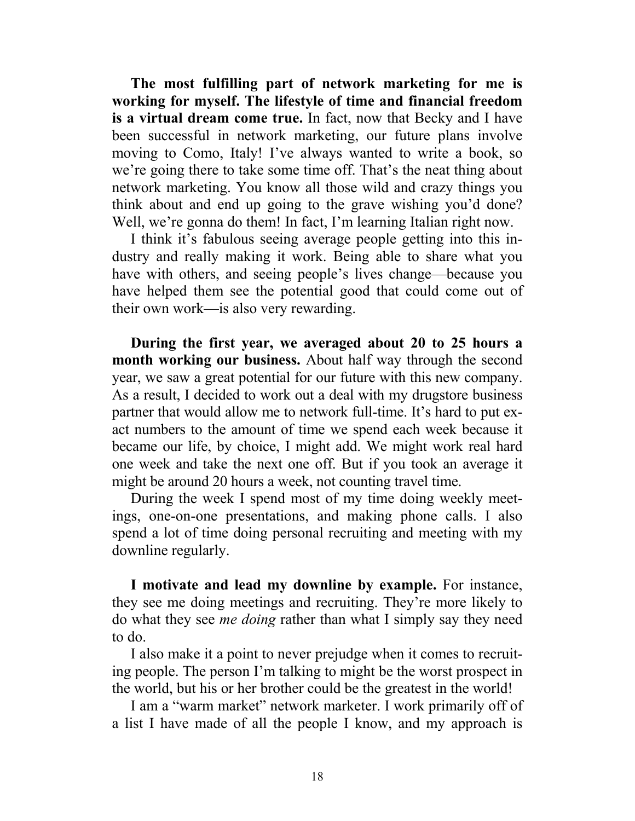**The most fulfilling part of network marketing for me is working for myself. The lifestyle of time and financial freedom is a virtual dream come true.** In fact, now that Becky and I have been successful in network marketing, our future plans involve moving to Como, Italy! I've always wanted to write a book, so we're going there to take some time off. That's the neat thing about network marketing. You know all those wild and crazy things you think about and end up going to the grave wishing you'd done? Well, we're gonna do them! In fact, I'm learning Italian right now.

I think it's fabulous seeing average people getting into this industry and really making it work. Being able to share what you have with others, and seeing people's lives change—because you have helped them see the potential good that could come out of their own work—is also very rewarding.

**During the first year, we averaged about 20 to 25 hours a month working our business.** About half way through the second year, we saw a great potential for our future with this new company. As a result, I decided to work out a deal with my drugstore business partner that would allow me to network full-time. It's hard to put exact numbers to the amount of time we spend each week because it became our life, by choice, I might add. We might work real hard one week and take the next one off. But if you took an average it might be around 20 hours a week, not counting travel time.

During the week I spend most of my time doing weekly meetings, one-on-one presentations, and making phone calls. I also spend a lot of time doing personal recruiting and meeting with my downline regularly.

**I motivate and lead my downline by example.** For instance, they see me doing meetings and recruiting. They're more likely to do what they see *me doing* rather than what I simply say they need to do.

I also make it a point to never prejudge when it comes to recruiting people. The person I'm talking to might be the worst prospect in the world, but his or her brother could be the greatest in the world!

I am a "warm market" network marketer. I work primarily off of a list I have made of all the people I know, and my approach is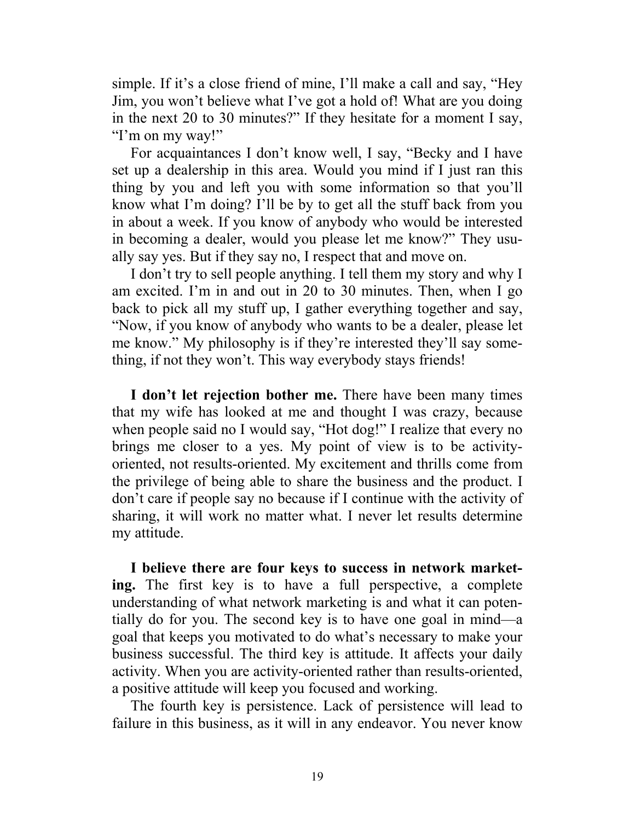simple. If it's a close friend of mine, I'll make a call and say, "Hey Jim, you won't believe what I've got a hold of! What are you doing in the next 20 to 30 minutes?" If they hesitate for a moment I say, "I'm on my way!"

For acquaintances I don't know well, I say, "Becky and I have set up a dealership in this area. Would you mind if I just ran this thing by you and left you with some information so that you'll know what I'm doing? I'll be by to get all the stuff back from you in about a week. If you know of anybody who would be interested in becoming a dealer, would you please let me know?" They usually say yes. But if they say no, I respect that and move on.

I don't try to sell people anything. I tell them my story and why I am excited. I'm in and out in 20 to 30 minutes. Then, when I go back to pick all my stuff up, I gather everything together and say, "Now, if you know of anybody who wants to be a dealer, please let me know." My philosophy is if they're interested they'll say something, if not they won't. This way everybody stays friends!

I don't let rejection bother me. There have been many times that my wife has looked at me and thought I was crazy, because when people said no I would say, "Hot dog!" I realize that every no brings me closer to a yes. My point of view is to be activityoriented, not results-oriented. My excitement and thrills come from the privilege of being able to share the business and the product. I don't care if people say no because if I continue with the activity of sharing, it will work no matter what. I never let results determine my attitude.

**I believe there are four keys to success in network marketing.** The first key is to have a full perspective, a complete understanding of what network marketing is and what it can potentially do for you. The second key is to have one goal in mind—a goal that keeps you motivated to do what's necessary to make your business successful. The third key is attitude. It affects your daily activity. When you are activity-oriented rather than results-oriented, a positive attitude will keep you focused and working.

The fourth key is persistence. Lack of persistence will lead to failure in this business, as it will in any endeavor. You never know